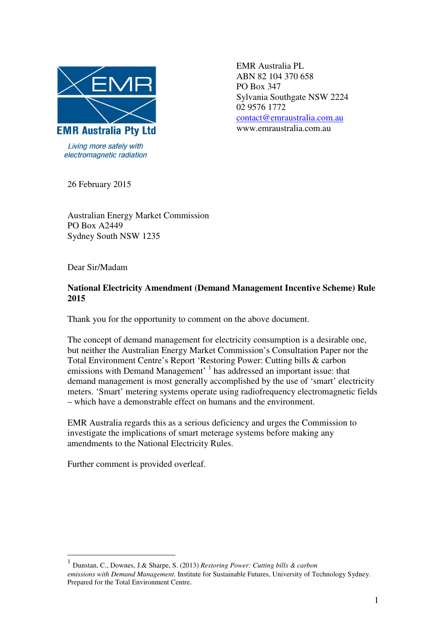

Living more safely with electromagnetic radiation  EMR Australia PL ABN 82 104 370 658 PO Box 347 Sylvania Southgate NSW 2224 02 9576 1772 contact@emraustralia.com.au www.emraustralia.com.au

26 February 2015

Australian Energy Market Commission PO Box A2449 Sydney South NSW 1235

Dear Sir/Madam

## **National Electricity Amendment (Demand Management Incentive Scheme) Rule 2015**

Thank you for the opportunity to comment on the above document.

The concept of demand management for electricity consumption is a desirable one, but neither the Australian Energy Market Commission's Consultation Paper nor the Total Environment Centre's Report 'Restoring Power: Cutting bills & carbon emissions with Demand Management' <sup>1</sup> has addressed an important issue: that demand management is most generally accomplished by the use of 'smart' electricity meters. 'Smart' metering systems operate using radiofrequency electromagnetic fields – which have a demonstrable effect on humans and the environment.

EMR Australia regards this as a serious deficiency and urges the Commission to investigate the implications of smart meterage systems before making any amendments to the National Electricity Rules.

Further comment is provided overleaf.

 $\overline{a}$ 

<sup>1</sup> Dunstan, C., Downes, J.& Sharpe, S. (2013) *Restoring Power: Cutting bills & carbon emissions with Demand Management.* Institute for Sustainable Futures, University of Technology Sydney. Prepared for the Total Environment Centre.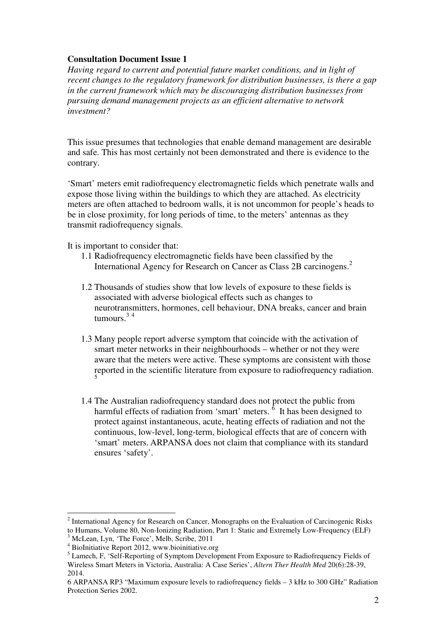## **Consultation Document Issue 1**

*Having regard to current and potential future market conditions, and in light of recent changes to the regulatory framework for distribution businesses, is there a gap in the current framework which may be discouraging distribution businesses from pursuing demand management projects as an efficient alternative to network investment?* 

This issue presumes that technologies that enable demand management are desirable and safe. This has most certainly not been demonstrated and there is evidence to the contrary.

'Smart' meters emit radiofrequency electromagnetic fields which penetrate walls and expose those living within the buildings to which they are attached. As electricity meters are often attached to bedroom walls, it is not uncommon for people's heads to be in close proximity, for long periods of time, to the meters' antennas as they transmit radiofrequency signals.

It is important to consider that:

- 1.1 Radiofrequency electromagnetic fields have been classified by the International Agency for Research on Cancer as Class 2B carcinogens.<sup>2</sup>
- 1.2 Thousands of studies show that low levels of exposure to these fields is associated with adverse biological effects such as changes to neurotransmitters, hormones, cell behaviour, DNA breaks, cancer and brain tumours. $34$
- 1.3 Many people report adverse symptom that coincide with the activation of smart meter networks in their neighbourhoods – whether or not they were aware that the meters were active. These symptoms are consistent with those reported in the scientific literature from exposure to radiofrequency radiation. 5
- 1.4 The Australian radiofrequency standard does not protect the public from harmful effects of radiation from 'smart' meters.  $6$  It has been designed to protect against instantaneous, acute, heating effects of radiation and not the continuous, low-level, long-term, biological effects that are of concern with 'smart' meters. ARPANSA does not claim that compliance with its standard ensures 'safety'.

 $\overline{a}$ 

<sup>&</sup>lt;sup>2</sup> International Agency for Research on Cancer, Monographs on the Evaluation of Carcinogenic Risks to Humans, Volume 80, Non-Ionizing Radiation, Part 1: Static and Extremely Low-Frequency (ELF)

<sup>3</sup> McLean, Lyn, 'The Force', Melb, Scribe, 2011

<sup>4</sup> BioInitiative Report 2012, www.bioinitiative.org

<sup>&</sup>lt;sup>5</sup> Lamech, F, 'Self-Reporting of Symptom Development From Exposure to Radiofrequency Fields of Wireless Smart Meters in Victoria, Australia: A Case Series', *Altern Ther Health Med* 20(6):28-39, 2014.

<sup>6</sup> ARPANSA RP3 "Maximum exposure levels to radiofrequency fields – 3 kHz to 300 GHz" Radiation Protection Series 2002.